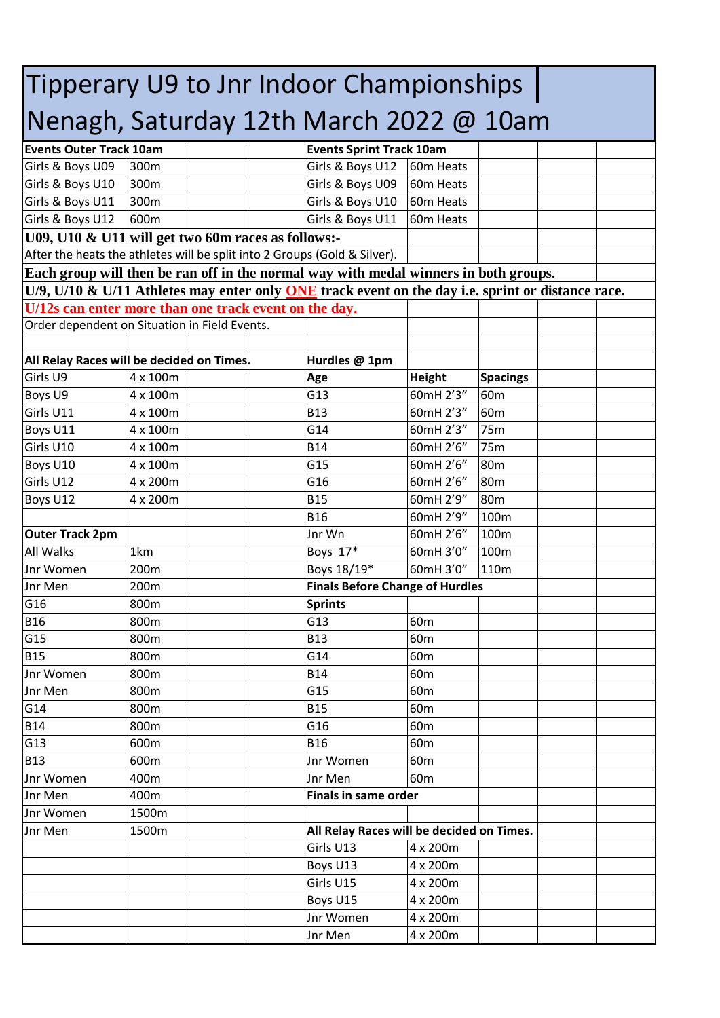| Tipperary U9 to Jnr Indoor Championships                                                                 |              |  |  |                                           |                                    |                 |  |  |
|----------------------------------------------------------------------------------------------------------|--------------|--|--|-------------------------------------------|------------------------------------|-----------------|--|--|
| Nenagh, Saturday 12th March 2022 @ 10am                                                                  |              |  |  |                                           |                                    |                 |  |  |
| <b>Events Outer Track 10am</b>                                                                           |              |  |  | <b>Events Sprint Track 10am</b>           |                                    |                 |  |  |
| Girls & Boys U09                                                                                         | 300m         |  |  | Girls & Boys U12                          | 60m Heats                          |                 |  |  |
| Girls & Boys U10                                                                                         | 300m         |  |  | Girls & Boys U09                          | 60m Heats                          |                 |  |  |
| Girls & Boys U11                                                                                         | 300m         |  |  | Girls & Boys U10                          | 60m Heats                          |                 |  |  |
| Girls & Boys U12                                                                                         | 600m         |  |  | Girls & Boys U11                          | 60m Heats                          |                 |  |  |
| U09, U10 & U11 will get two 60m races as follows:-                                                       |              |  |  |                                           |                                    |                 |  |  |
| After the heats the athletes will be split into 2 Groups (Gold & Silver).                                |              |  |  |                                           |                                    |                 |  |  |
| Each group will then be ran off in the normal way with medal winners in both groups.                     |              |  |  |                                           |                                    |                 |  |  |
| U/9, U/10 & U/11 Athletes may enter only <b>ONE</b> track event on the day i.e. sprint or distance race. |              |  |  |                                           |                                    |                 |  |  |
|                                                                                                          |              |  |  |                                           |                                    |                 |  |  |
| U/12s can enter more than one track event on the day.<br>Order dependent on Situation in Field Events.   |              |  |  |                                           |                                    |                 |  |  |
|                                                                                                          |              |  |  |                                           |                                    |                 |  |  |
| All Relay Races will be decided on Times.                                                                |              |  |  | Hurdles @ 1pm                             |                                    |                 |  |  |
| Girls U9                                                                                                 | 4 x 100m     |  |  | Age                                       | <b>Height</b>                      | <b>Spacings</b> |  |  |
| Boys U9                                                                                                  | 4 x 100m     |  |  | G13                                       | 60mH 2'3"                          | 60 <sub>m</sub> |  |  |
| Girls U11                                                                                                | 4 x 100m     |  |  | <b>B13</b>                                | 60mH 2'3"                          | 60 <sub>m</sub> |  |  |
| Boys U11                                                                                                 | 4 x 100m     |  |  | G14                                       | 60mH 2'3"                          | 75m             |  |  |
| Girls U10                                                                                                | 4 x 100m     |  |  | <b>B14</b>                                | 60mH 2'6"                          | 75m             |  |  |
| Boys U10                                                                                                 | 4 x 100m     |  |  | G15                                       | 60mH 2'6"                          | 80 <sub>m</sub> |  |  |
| Girls U12                                                                                                | 4 x 200m     |  |  | G16                                       | 60mH 2'6"                          | 80 <sub>m</sub> |  |  |
| Boys U12                                                                                                 | 4 x 200m     |  |  | <b>B15</b>                                | 60mH 2'9"                          | 80m             |  |  |
|                                                                                                          |              |  |  | <b>B16</b>                                | 60mH 2'9"                          | 100m            |  |  |
| <b>Outer Track 2pm</b>                                                                                   |              |  |  | Jnr Wn                                    | 60mH 2'6"                          | 100m            |  |  |
| <b>All Walks</b>                                                                                         | 1km          |  |  | Boys 17*                                  | 60mH 3'0"                          | 100m            |  |  |
| Jnr Women                                                                                                | 200m         |  |  | Boys 18/19*                               | 60mH 3'0"                          | 110m            |  |  |
| Jnr Men                                                                                                  | 200m         |  |  | <b>Finals Before Change of Hurdles</b>    |                                    |                 |  |  |
| G16                                                                                                      | 800m         |  |  |                                           |                                    |                 |  |  |
| <b>B16</b>                                                                                               | 800m         |  |  | <b>Sprints</b><br>G13                     | 60 <sub>m</sub>                    |                 |  |  |
| G15                                                                                                      | 800m         |  |  | <b>B13</b>                                | 60 <sub>m</sub>                    |                 |  |  |
| <b>B15</b>                                                                                               |              |  |  | G14                                       | 60 <sub>m</sub>                    |                 |  |  |
|                                                                                                          | 800m<br>800m |  |  | <b>B14</b>                                |                                    |                 |  |  |
| Jnr Women                                                                                                | 800m         |  |  | G15                                       | 60 <sub>m</sub>                    |                 |  |  |
| Jnr Men                                                                                                  | 800m         |  |  | <b>B15</b>                                | 60 <sub>m</sub>                    |                 |  |  |
| G14<br><b>B14</b>                                                                                        | 800m         |  |  | G16                                       | 60 <sub>m</sub><br>60 <sub>m</sub> |                 |  |  |
|                                                                                                          |              |  |  |                                           |                                    |                 |  |  |
| G13<br><b>B13</b>                                                                                        | 600m         |  |  | <b>B16</b><br>Jnr Women                   | 60 <sub>m</sub>                    |                 |  |  |
|                                                                                                          | 600m         |  |  |                                           | 60 <sub>m</sub>                    |                 |  |  |
| Jnr Women                                                                                                | 400m         |  |  | Jnr Men                                   | 60 <sub>m</sub>                    |                 |  |  |
| Jnr Men                                                                                                  | 400m         |  |  | <b>Finals in same order</b>               |                                    |                 |  |  |
| Jnr Women                                                                                                | 1500m        |  |  |                                           |                                    |                 |  |  |
| Jnr Men                                                                                                  | 1500m        |  |  | All Relay Races will be decided on Times. |                                    |                 |  |  |
|                                                                                                          |              |  |  | Girls U13                                 | 4 x 200m                           |                 |  |  |
|                                                                                                          |              |  |  | Boys U13                                  | 4 x 200m                           |                 |  |  |
|                                                                                                          |              |  |  | Girls U15                                 | 4 x 200m                           |                 |  |  |
|                                                                                                          |              |  |  | Boys U15                                  | 4 x 200m                           |                 |  |  |
|                                                                                                          |              |  |  | Jnr Women                                 | 4 x 200m                           |                 |  |  |
|                                                                                                          |              |  |  | Jnr Men                                   | 4 x 200m                           |                 |  |  |